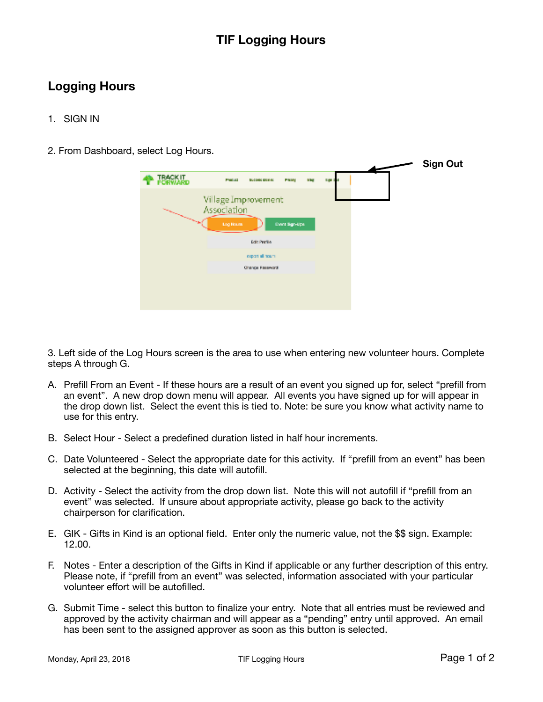## **TIF Logging Hours**

## **Logging Hours**

- 1. SIGN IN
- 2. From Dashboard, select Log Hours.

|                                                                                                                                                                                                                                |                                                 |                        |                |     |                |  | <b>Sign Out</b> |
|--------------------------------------------------------------------------------------------------------------------------------------------------------------------------------------------------------------------------------|-------------------------------------------------|------------------------|----------------|-----|----------------|--|-----------------|
| <b>TRACK IT.</b><br>PORVIARD                                                                                                                                                                                                   | Persia                                          | <b>BUCONDE ABOVINE</b> | Printed        | n., | <b>Date of</b> |  |                 |
| and the contract of the contract of the contract of the contract of the contract of the contract of the contract of the contract of the contract of the contract of the contract of the contract of the contract of the contra | Village Improvement<br>Association<br>Log House |                        | Event Sign-Ups |     |                |  |                 |
|                                                                                                                                                                                                                                | Edit Profile                                    |                        |                |     |                |  |                 |
|                                                                                                                                                                                                                                |                                                 | maximal team.          |                |     |                |  |                 |
|                                                                                                                                                                                                                                | Change Fassword                                 |                        |                |     |                |  |                 |
|                                                                                                                                                                                                                                |                                                 |                        |                |     |                |  |                 |
|                                                                                                                                                                                                                                |                                                 |                        |                |     |                |  |                 |
|                                                                                                                                                                                                                                |                                                 |                        |                |     |                |  |                 |

3. Left side of the Log Hours screen is the area to use when entering new volunteer hours. Complete steps A through G.

- A. Prefill From an Event If these hours are a result of an event you signed up for, select "prefill from an event". A new drop down menu will appear. All events you have signed up for will appear in the drop down list. Select the event this is tied to. Note: be sure you know what activity name to use for this entry.
- B. Select Hour Select a predefined duration listed in half hour increments.
- C. Date Volunteered Select the appropriate date for this activity. If "prefill from an event" has been selected at the beginning, this date will autofill.
- D. Activity Select the activity from the drop down list. Note this will not autofill if "prefill from an event" was selected. If unsure about appropriate activity, please go back to the activity chairperson for clarification.
- E. GIK Gifts in Kind is an optional field. Enter only the numeric value, not the \$\$ sign. Example: 12.00.
- F. Notes Enter a description of the Gifts in Kind if applicable or any further description of this entry. Please note, if "prefill from an event" was selected, information associated with your particular volunteer effort will be autofilled.
- G. Submit Time select this button to finalize your entry. Note that all entries must be reviewed and approved by the activity chairman and will appear as a "pending" entry until approved. An email has been sent to the assigned approver as soon as this button is selected.